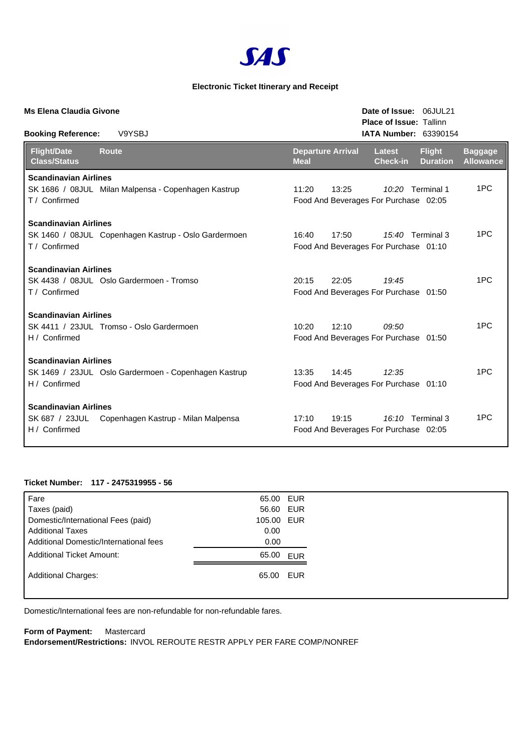

## **Electronic Ticket Itinerary and Receipt**

| <b>Ms Elena Claudia Givone</b>                                  |                                                      |                                         | Date of Issue: 06JUL21<br><b>Place of Issue: Tallinn</b>  |                                  |                                    |  |  |
|-----------------------------------------------------------------|------------------------------------------------------|-----------------------------------------|-----------------------------------------------------------|----------------------------------|------------------------------------|--|--|
| <b>Booking Reference:</b>                                       | V9YSBJ                                               |                                         | <b>IATA Number: 63390154</b>                              |                                  |                                    |  |  |
| <b>Flight/Date</b><br><b>Class/Status</b>                       | <b>Route</b>                                         | <b>Departure Arrival</b><br><b>Meal</b> | <b>Latest</b><br><b>Check-in</b>                          | <b>Flight</b><br><b>Duration</b> | <b>Baggage</b><br><b>Allowance</b> |  |  |
| <b>Scandinavian Airlines</b>                                    |                                                      |                                         |                                                           |                                  |                                    |  |  |
| T / Confirmed                                                   | SK 1686 / 08JUL Milan Malpensa - Copenhagen Kastrup  | 11:20<br>13:25                          | 10:20 Terminal 1<br>Food And Beverages For Purchase 02:05 |                                  | 1PC                                |  |  |
| <b>Scandinavian Airlines</b>                                    |                                                      |                                         |                                                           |                                  |                                    |  |  |
| T / Confirmed                                                   | SK 1460 / 08JUL Copenhagen Kastrup - Oslo Gardermoen | 16:40<br>17:50                          | 15:40 Terminal 3<br>Food And Beverages For Purchase 01:10 |                                  | 1PC                                |  |  |
| <b>Scandinavian Airlines</b>                                    |                                                      |                                         |                                                           |                                  |                                    |  |  |
| T / Confirmed                                                   | SK 4438 / 08JUL Oslo Gardermoen - Tromso             | 20:15<br>22:05                          | 19:45<br>Food And Beverages For Purchase 01:50            |                                  | 1PC                                |  |  |
| <b>Scandinavian Airlines</b>                                    |                                                      |                                         |                                                           |                                  |                                    |  |  |
| H / Confirmed                                                   | SK 4411 / 23JUL Tromso - Oslo Gardermoen             | 10:20<br>12:10                          | 09:50<br>Food And Beverages For Purchase 01:50            |                                  | 1PC                                |  |  |
| <b>Scandinavian Airlines</b>                                    |                                                      |                                         |                                                           |                                  |                                    |  |  |
| H / Confirmed                                                   | SK 1469 / 23JUL Oslo Gardermoen - Copenhagen Kastrup | 14:45<br>13:35                          | 12:35<br>Food And Beverages For Purchase 01:10            |                                  | 1PC                                |  |  |
| <b>Scandinavian Airlines</b><br>SK 687 / 23JUL<br>H / Confirmed | Copenhagen Kastrup - Milan Malpensa                  | 17:10<br>19:15                          | 16:10 Terminal 3<br>Food And Beverages For Purchase 02:05 |                                  | 1PC                                |  |  |
|                                                                 |                                                      |                                         |                                                           |                                  |                                    |  |  |

## **Ticket Number: 117 - 2475319955 - 56**

| Fare                                   | 65.00 EUR  |  |
|----------------------------------------|------------|--|
| Taxes (paid)                           | 56.60 EUR  |  |
| Domestic/International Fees (paid)     | 105.00 EUR |  |
| <b>Additional Taxes</b>                | 0.00       |  |
| Additional Domestic/International fees | 0.00       |  |
| <b>Additional Ticket Amount:</b>       | 65.00 EUR  |  |
| <b>Additional Charges:</b>             | 65.00 EUR  |  |
|                                        |            |  |

Domestic/International fees are non-refundable for non-refundable fares.

**Form of Payment:** Mastercard **Endorsement/Restrictions:** INVOL REROUTE RESTR APPLY PER FARE COMP/NONREF